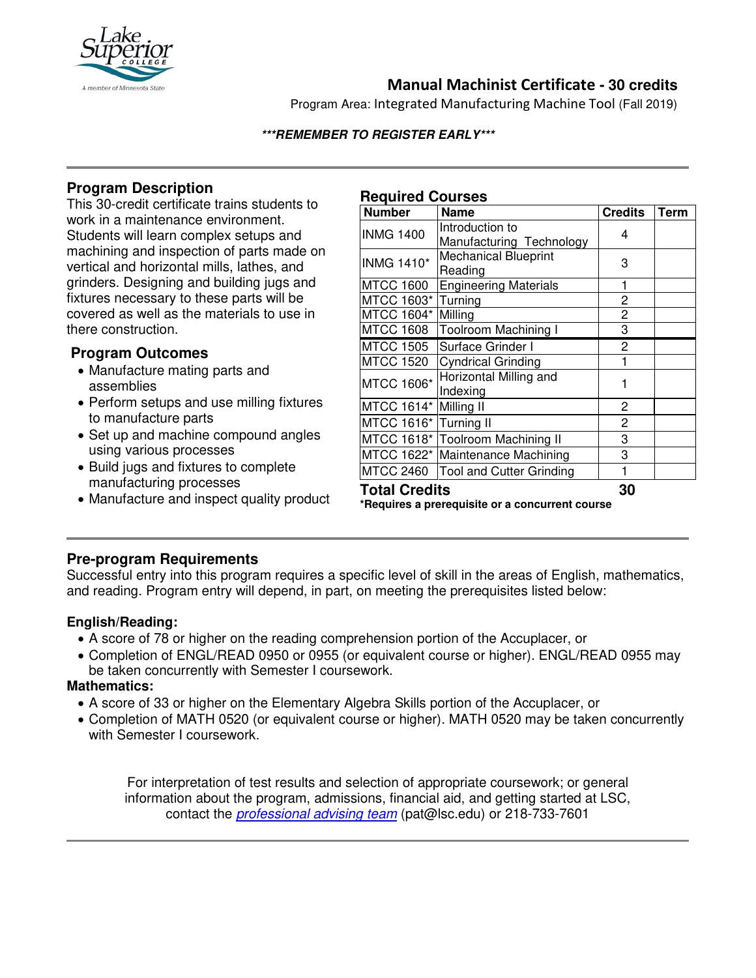

# **Manual Machinist Certificate - 30 credits**

Program Area: Integrated Manufacturing Machine Tool (Fall 2019)

#### **\*\*\*REMEMBER TO REGISTER EARLY\*\*\***

## **Program Description**

This 30-credit certificate trains students to work in a maintenance environment. Students will learn complex setups and machining and inspection of parts made on vertical and horizontal mills, lathes, and grinders. Designing and building jugs and fixtures necessary to these parts will be covered as well as the materials to use in there construction.

## **Program Outcomes**

- Manufacture mating parts and assemblies
- Perform setups and use milling fixtures to manufacture parts
- Set up and machine compound angles using various processes
- Build jugs and fixtures to complete manufacturing processes
- Manufacture and inspect quality product

### **Required Courses**

| <b>Number</b>                                   | <b>Name</b>                      | <b>Credits</b> | <b>Term</b> |
|-------------------------------------------------|----------------------------------|----------------|-------------|
| <b>INMG 1400</b>                                | Introduction to                  | 4              |             |
|                                                 | Manufacturing Technology         |                |             |
| <b>INMG 1410*</b>                               | <b>Mechanical Blueprint</b>      | 3              |             |
|                                                 | Reading                          |                |             |
| <b>MTCC 1600</b>                                | <b>Engineering Materials</b>     | 1              |             |
| MTCC 1603*                                      | Turning                          | 2              |             |
| MTCC 1604*                                      | Milling                          | $\overline{c}$ |             |
| <b>MTCC 1608</b>                                | Toolroom Machining I             | 3              |             |
| <b>MTCC 1505</b>                                | Surface Grinder I                | 2              |             |
| <b>MTCC 1520</b>                                | <b>Cyndrical Grinding</b>        | 1              |             |
| <b>MTCC 1606*</b>                               | Horizontal Milling and           | 1              |             |
|                                                 | Indexing                         |                |             |
| MTCC 1614*                                      | Milling II                       | 2              |             |
| MTCC 1616*                                      | Turning II                       | $\overline{c}$ |             |
|                                                 | MTCC 1618* Toolroom Machining II | 3              |             |
|                                                 | MTCC 1622* Maintenance Machining | 3              |             |
| <b>MTCC 2460</b>                                | <b>Tool and Cutter Grinding</b>  | 1              |             |
| <b>Total Credits</b>                            |                                  | 30             |             |
| *Requires a prerequisite or a concurrent course |                                  |                |             |

### **Pre-program Requirements**

Successful entry into this program requires a specific level of skill in the areas of English, mathematics, and reading. Program entry will depend, in part, on meeting the prerequisites listed below:

### **English/Reading:**

- A score of 78 or higher on the reading comprehension portion of the Accuplacer, or
- Completion of ENGL/READ 0950 or 0955 (or equivalent course or higher). ENGL/READ 0955 may be taken concurrently with Semester I coursework.

#### **Mathematics:**

Ϊ

- A score of 33 or higher on the Elementary Algebra Skills portion of the Accuplacer, or
- Completion of MATH 0520 (or equivalent course or higher). MATH 0520 may be taken concurrently with Semester I coursework.

For interpretation of test results and selection of appropriate coursework; or general information about the program, admissions, financial aid, and getting started at LSC, contact the *[professional advising team](mailto:pat@lsc.edu)* (pat@lsc.edu) or 218-733-7601